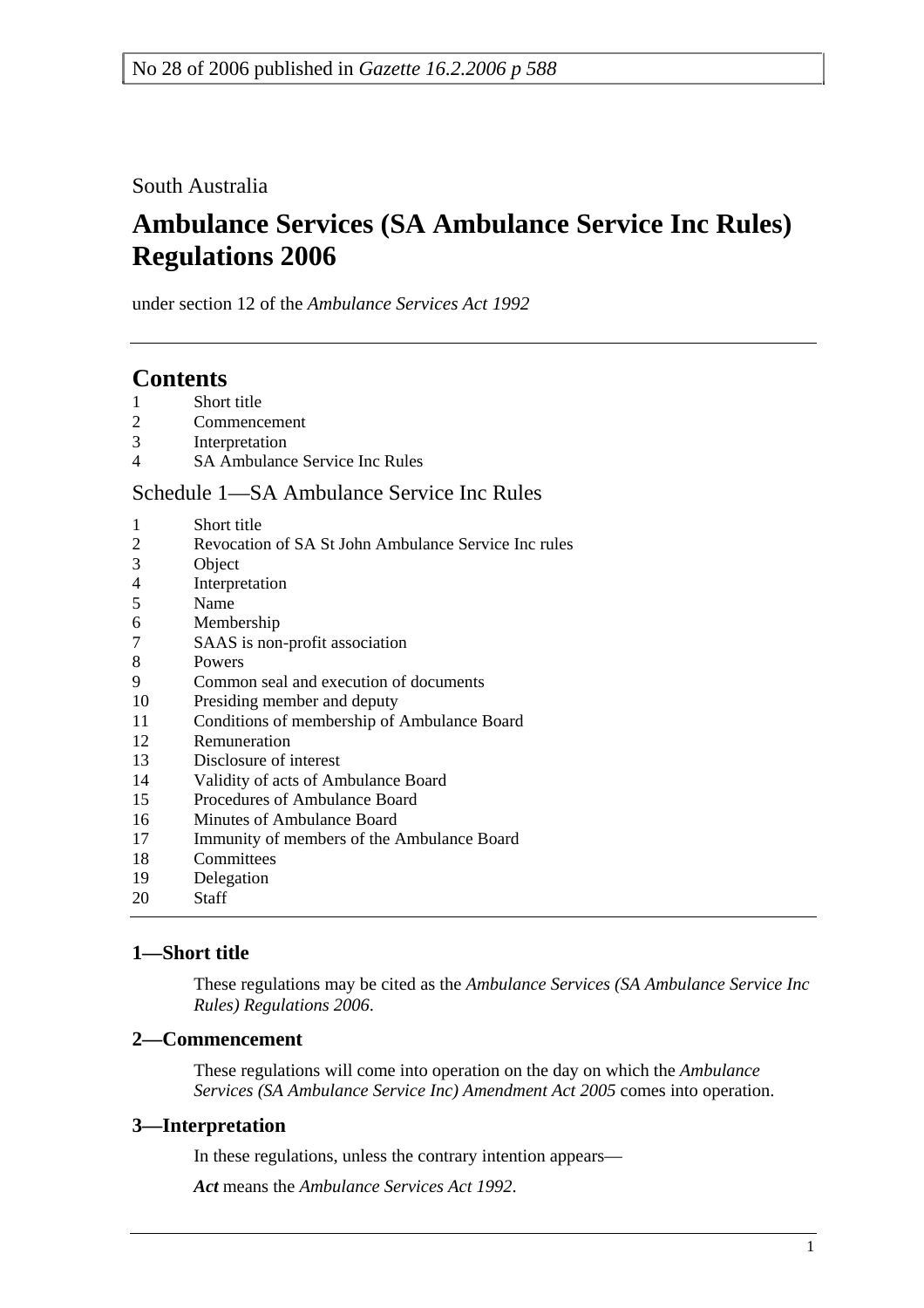South Australia

# **Ambulance Services (SA Ambulance Service Inc Rules) Regulations 2006**

under section 12 of the *Ambulance Services Act 1992*

# **Contents**

- 1 Short title
- 2 Commencement
- 3 Interpretation
- 4 SA Ambulance Service Inc Rules

# Schedule 1—SA Ambulance Service Inc Rules

- 1 Short title
- 2 Revocation of SA St John Ambulance Service Inc rules
- 3 Object
- 4 Interpretation
- 5 Name
- 6 Membership
- 7 SAAS is non-profit association
- 8 Powers
- 9 Common seal and execution of documents
- 10 Presiding member and deputy
- 11 Conditions of membership of Ambulance Board
- 12 Remuneration
- 13 Disclosure of interest
- 14 Validity of acts of Ambulance Board
- 15 Procedures of Ambulance Board
- 16 Minutes of Ambulance Board
- 17 Immunity of members of the Ambulance Board
- 18 Committees
- 19 Delegation
- 20 Staff

# **1—Short title**

These regulations may be cited as the *Ambulance Services (SA Ambulance Service Inc Rules) Regulations 2006*.

# **2—Commencement**

These regulations will come into operation on the day on which the *Ambulance Services (SA Ambulance Service Inc) Amendment Act 2005* comes into operation.

# **3—Interpretation**

In these regulations, unless the contrary intention appears—

*Act* means the *Ambulance Services Act 1992*.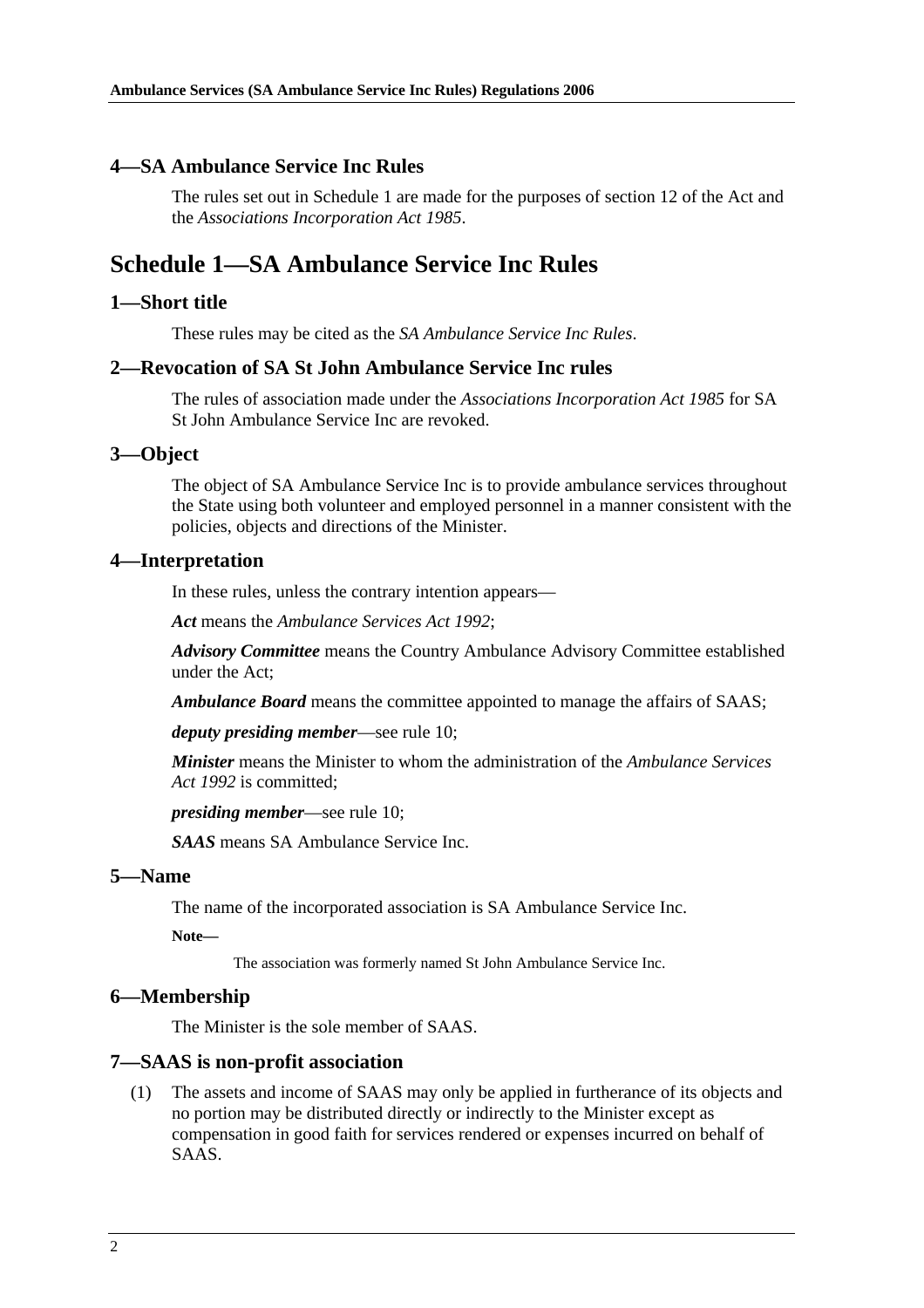#### **4—SA Ambulance Service Inc Rules**

The rules set out in Schedule 1 are made for the purposes of section 12 of the Act and the *Associations Incorporation Act 1985*.

# **Schedule 1—SA Ambulance Service Inc Rules**

#### **1—Short title**

These rules may be cited as the *SA Ambulance Service Inc Rules*.

#### **2—Revocation of SA St John Ambulance Service Inc rules**

The rules of association made under the *Associations Incorporation Act 1985* for SA St John Ambulance Service Inc are revoked.

#### **3—Object**

The object of SA Ambulance Service Inc is to provide ambulance services throughout the State using both volunteer and employed personnel in a manner consistent with the policies, objects and directions of the Minister.

#### **4—Interpretation**

In these rules, unless the contrary intention appears—

*Act* means the *Ambulance Services Act 1992*;

*Advisory Committee* means the Country Ambulance Advisory Committee established under the Act;

*Ambulance Board* means the committee appointed to manage the affairs of SAAS;

*deputy presiding member*—see rule 10;

*Minister* means the Minister to whom the administration of the *Ambulance Services Act 1992* is committed;

*presiding member*—see rule 10;

*SAAS* means SA Ambulance Service Inc.

#### **5—Name**

The name of the incorporated association is SA Ambulance Service Inc.

**Note—** 

The association was formerly named St John Ambulance Service Inc.

#### **6—Membership**

The Minister is the sole member of SAAS.

#### **7—SAAS is non-profit association**

 (1) The assets and income of SAAS may only be applied in furtherance of its objects and no portion may be distributed directly or indirectly to the Minister except as compensation in good faith for services rendered or expenses incurred on behalf of SAAS.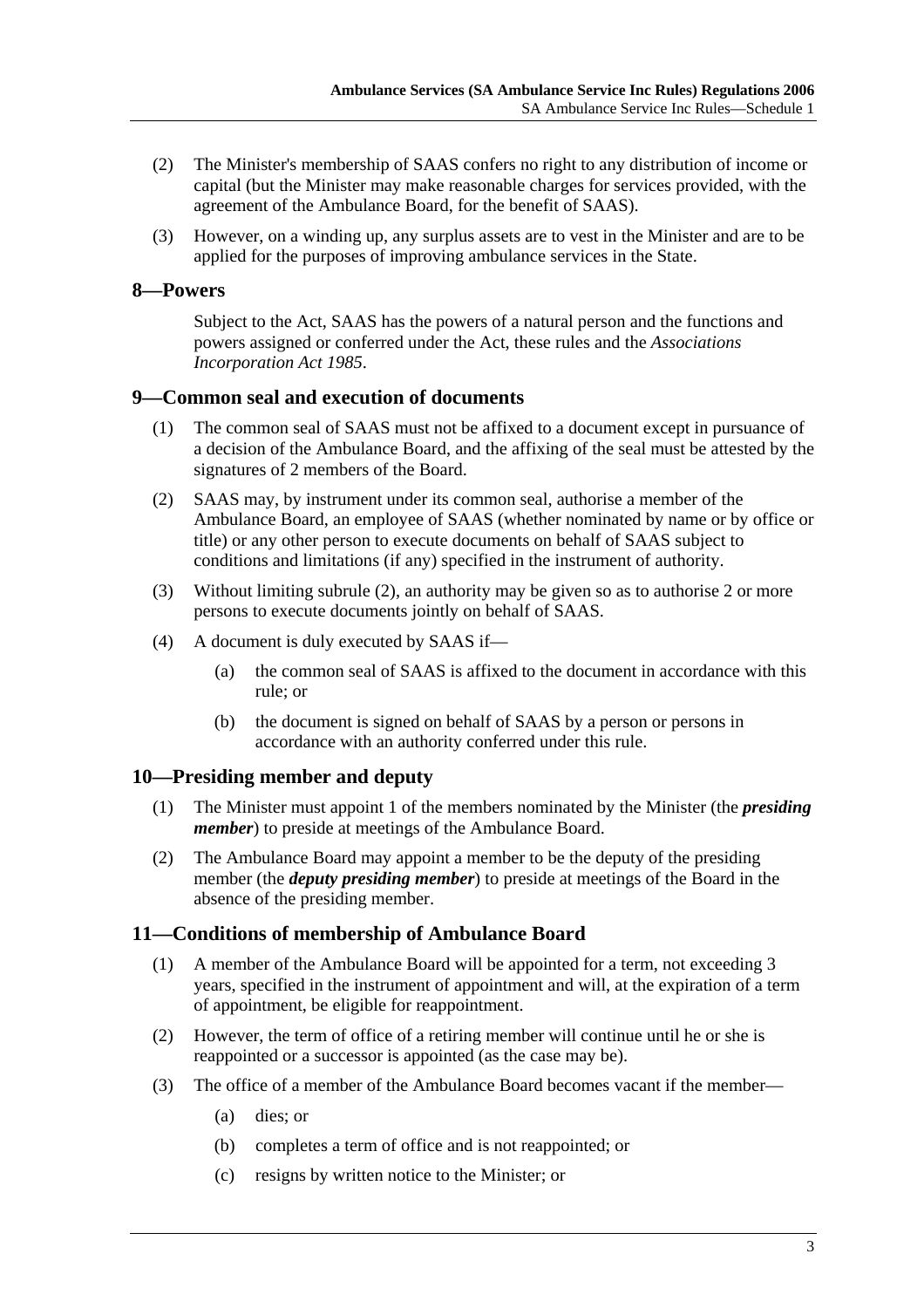- (2) The Minister's membership of SAAS confers no right to any distribution of income or capital (but the Minister may make reasonable charges for services provided, with the agreement of the Ambulance Board, for the benefit of SAAS).
- (3) However, on a winding up, any surplus assets are to vest in the Minister and are to be applied for the purposes of improving ambulance services in the State.

# **8—Powers**

Subject to the Act, SAAS has the powers of a natural person and the functions and powers assigned or conferred under the Act, these rules and the *Associations Incorporation Act 1985*.

# **9—Common seal and execution of documents**

- (1) The common seal of SAAS must not be affixed to a document except in pursuance of a decision of the Ambulance Board, and the affixing of the seal must be attested by the signatures of 2 members of the Board.
- (2) SAAS may, by instrument under its common seal, authorise a member of the Ambulance Board, an employee of SAAS (whether nominated by name or by office or title) or any other person to execute documents on behalf of SAAS subject to conditions and limitations (if any) specified in the instrument of authority.
- (3) Without limiting subrule (2), an authority may be given so as to authorise 2 or more persons to execute documents jointly on behalf of SAAS.
- (4) A document is duly executed by SAAS if—
	- (a) the common seal of SAAS is affixed to the document in accordance with this rule; or
	- (b) the document is signed on behalf of SAAS by a person or persons in accordance with an authority conferred under this rule.

# **10—Presiding member and deputy**

- (1) The Minister must appoint 1 of the members nominated by the Minister (the *presiding member*) to preside at meetings of the Ambulance Board.
- (2) The Ambulance Board may appoint a member to be the deputy of the presiding member (the *deputy presiding member*) to preside at meetings of the Board in the absence of the presiding member.

# **11—Conditions of membership of Ambulance Board**

- (1) A member of the Ambulance Board will be appointed for a term, not exceeding 3 years, specified in the instrument of appointment and will, at the expiration of a term of appointment, be eligible for reappointment.
- (2) However, the term of office of a retiring member will continue until he or she is reappointed or a successor is appointed (as the case may be).
- (3) The office of a member of the Ambulance Board becomes vacant if the member—
	- (a) dies; or
	- (b) completes a term of office and is not reappointed; or
	- (c) resigns by written notice to the Minister; or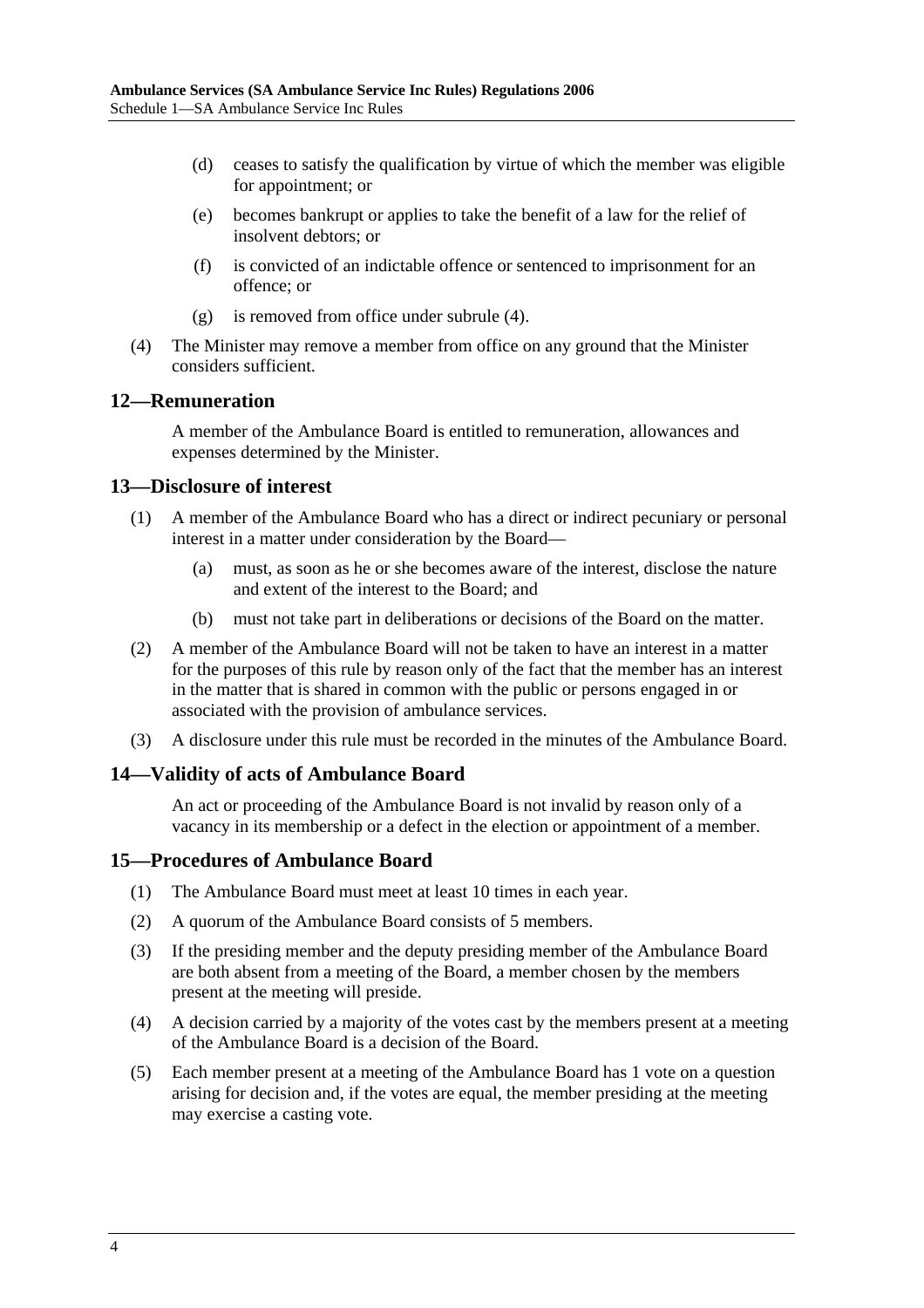- (d) ceases to satisfy the qualification by virtue of which the member was eligible for appointment; or
- (e) becomes bankrupt or applies to take the benefit of a law for the relief of insolvent debtors; or
- (f) is convicted of an indictable offence or sentenced to imprisonment for an offence; or
- (g) is removed from office under subrule (4).
- (4) The Minister may remove a member from office on any ground that the Minister considers sufficient.

#### **12—Remuneration**

A member of the Ambulance Board is entitled to remuneration, allowances and expenses determined by the Minister.

#### **13—Disclosure of interest**

- (1) A member of the Ambulance Board who has a direct or indirect pecuniary or personal interest in a matter under consideration by the Board—
	- (a) must, as soon as he or she becomes aware of the interest, disclose the nature and extent of the interest to the Board; and
	- (b) must not take part in deliberations or decisions of the Board on the matter.
- (2) A member of the Ambulance Board will not be taken to have an interest in a matter for the purposes of this rule by reason only of the fact that the member has an interest in the matter that is shared in common with the public or persons engaged in or associated with the provision of ambulance services.
- (3) A disclosure under this rule must be recorded in the minutes of the Ambulance Board.

# **14—Validity of acts of Ambulance Board**

An act or proceeding of the Ambulance Board is not invalid by reason only of a vacancy in its membership or a defect in the election or appointment of a member.

# **15—Procedures of Ambulance Board**

- (1) The Ambulance Board must meet at least 10 times in each year.
- (2) A quorum of the Ambulance Board consists of 5 members.
- (3) If the presiding member and the deputy presiding member of the Ambulance Board are both absent from a meeting of the Board, a member chosen by the members present at the meeting will preside.
- (4) A decision carried by a majority of the votes cast by the members present at a meeting of the Ambulance Board is a decision of the Board.
- (5) Each member present at a meeting of the Ambulance Board has 1 vote on a question arising for decision and, if the votes are equal, the member presiding at the meeting may exercise a casting vote.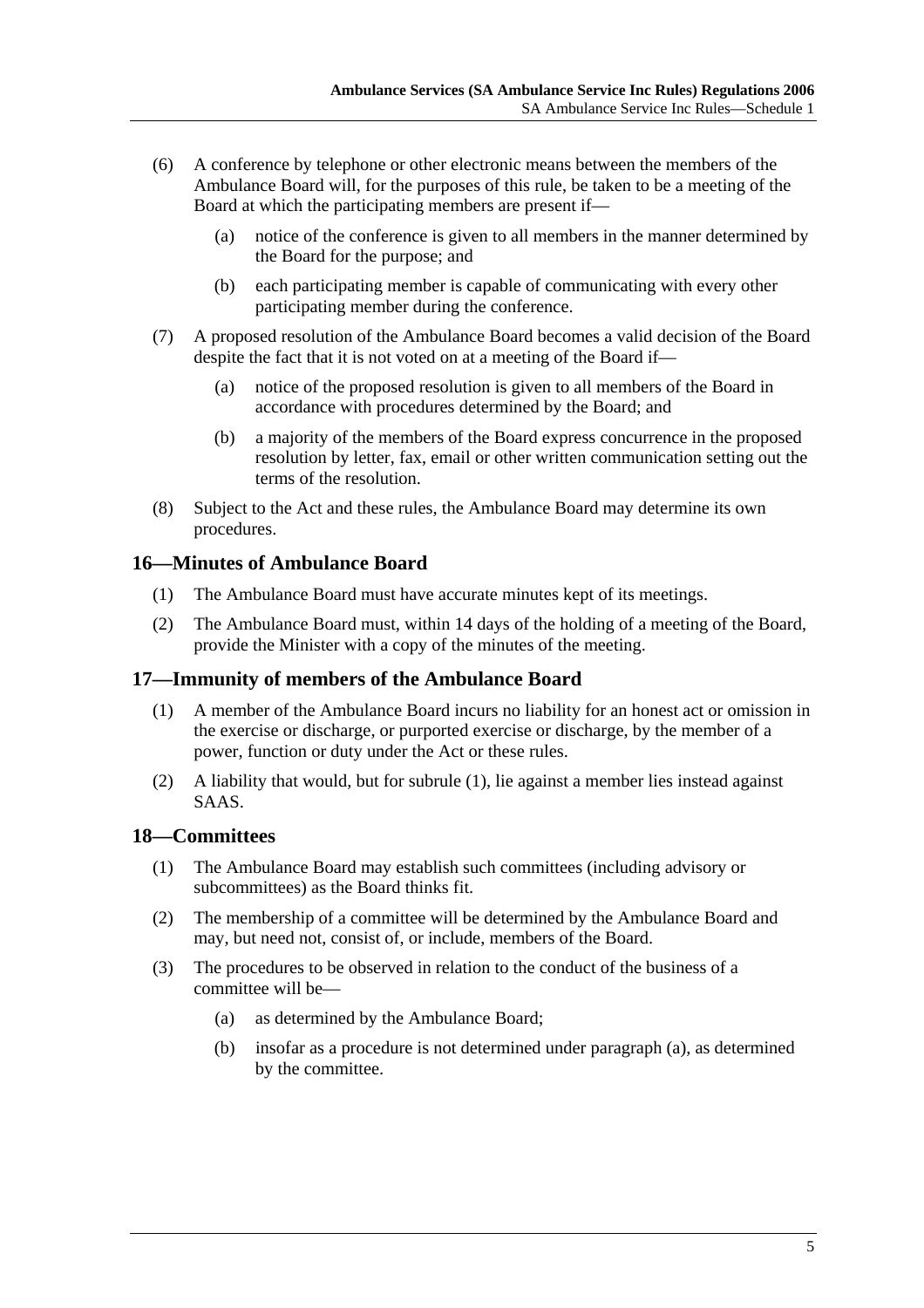- (6) A conference by telephone or other electronic means between the members of the Ambulance Board will, for the purposes of this rule, be taken to be a meeting of the Board at which the participating members are present if—
	- (a) notice of the conference is given to all members in the manner determined by the Board for the purpose; and
	- (b) each participating member is capable of communicating with every other participating member during the conference.
- (7) A proposed resolution of the Ambulance Board becomes a valid decision of the Board despite the fact that it is not voted on at a meeting of the Board if—
	- (a) notice of the proposed resolution is given to all members of the Board in accordance with procedures determined by the Board; and
	- (b) a majority of the members of the Board express concurrence in the proposed resolution by letter, fax, email or other written communication setting out the terms of the resolution.
- (8) Subject to the Act and these rules, the Ambulance Board may determine its own procedures.

# **16—Minutes of Ambulance Board**

- (1) The Ambulance Board must have accurate minutes kept of its meetings.
- (2) The Ambulance Board must, within 14 days of the holding of a meeting of the Board, provide the Minister with a copy of the minutes of the meeting.

# **17—Immunity of members of the Ambulance Board**

- (1) A member of the Ambulance Board incurs no liability for an honest act or omission in the exercise or discharge, or purported exercise or discharge, by the member of a power, function or duty under the Act or these rules.
- (2) A liability that would, but for subrule (1), lie against a member lies instead against SAAS.

#### **18—Committees**

- (1) The Ambulance Board may establish such committees (including advisory or subcommittees) as the Board thinks fit.
- (2) The membership of a committee will be determined by the Ambulance Board and may, but need not, consist of, or include, members of the Board.
- (3) The procedures to be observed in relation to the conduct of the business of a committee will be—
	- (a) as determined by the Ambulance Board;
	- (b) insofar as a procedure is not determined under paragraph (a), as determined by the committee.